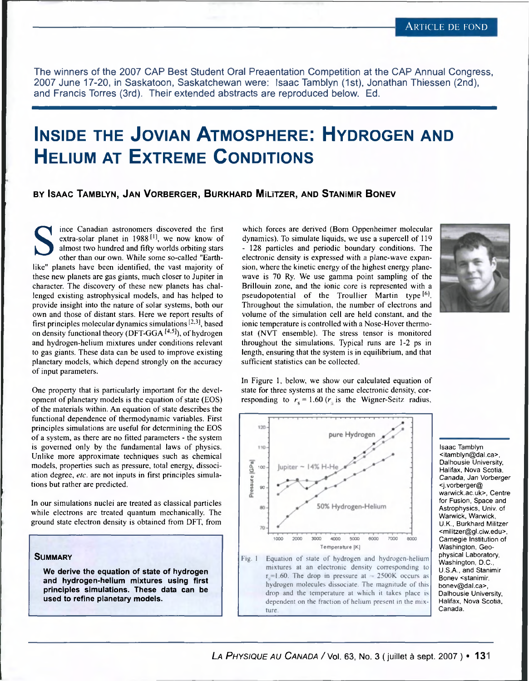The winners of the 2007 CAP Best Student Oral Preaentation Competition at the CAP Annual Congress, 2007 June 17-20, in Saskatoon, Saskatchewan were: Isaac Tamblyn (1st), Jonathan Thiessen (2nd), and Francis Torres (3rd). Their extended abstracts are reproduced below. Ed.

# **Inside the Jovian Atmosphere: Hydrogen and Helium at Extreme Conditions**

## **by Isaac Tamblyn, Jan Vorberger, Burkhard Míutzer, and Stanímír Bonev**

Solar planet in 1988<sup>[1]</sup>, we now know of almost two hundred and fifty worlds orbiting stars other than our own. While some so-called "Earth-<br>like" planets have been identified, the vast majority of ince Canadian astronomers discovered the first extra-solar planet in  $1988$ <sup>[1]</sup>, we now know of almost two hundred and fifty worlds orbiting stars other than our own. While some so-called "Earththese new planets are gas giants, much closer to Jupiter in character. The discovery of these new planets has challenged existing astrophysical models, and has helped to provide insight into the nature of solar systems, both our own and those of distant stars. Here we report results of first principles molecular dynamics simulations  $[2,3]$ , based on density functional theory (DFT-GGA  $[4.5]$ ), of hydrogen and hydrogen-helium mixtures under conditions relevant to gas giants. These data can be used to improve existing planetary models, which depend strongly on the accuracy of input parameters.

One property that is particularly important for the development of planetary models is the equation of state (EOS) of the materials within. An equation of state describes the functional dependence of thermodynamic variables. First principles simulations are useful for determining the EOS of a system, as there are no fitted parameters - the system is governed only by the fundamental laws of physics. Unlike more approximate techniques such as chemical models, properties such as pressure, total energy, dissociation degree, *etc.* are not inputs in first principles simulations but rather are predicted.

In our simulations nuclei are treated as classical particles while electrons are treated quantum mechanically. The ground state electron density is obtained from DFT, from



### mixtures at an electronic density corresponding to  $r_s$ =1.60. The drop in pressure at  $-$  2500K occurs as hydrogen molecules dissociate. The magnitude of this drop and the temperature at which it takes place is dependent on the ffaction of helium present in the mixture



In Figure 1, below, we show our calculated equation of state for three systems at the same electronic density, corresponding to  $r_s = 1.60$  ( $r_s$  is the Wigner-Seitz radius,

pure Hydroger

sufficient statistics can be collected.

120

which forces are derived (Born Oppenheimer molecular dynamics). To simulate liquids, we use a supercell of 119 - 128 particles and periodic boundary conditions. The electronic density is expressed with a plane-wave expansion, where the kinetic energy of the highest energy planewave is 70 Ry. We use gamma point sampling of the Brillouin zone, and the ionic core is represented with a pseudopotential of the Troullier Martin type [6]. Throughout the simulation, the number of electrons and volume of the simulation cell are held constant, and the ionic temperature is controlled with a Nose-Hover thermostat (NVT ensemble). The stress tensor is monitored throughout the simulations. Typical runs are 1-2 ps in length, ensuring that the system is in equilibrium, and that

> Isaac Tamblyn <itamblyn@dal.ca>, Dalhousie University, Halifax, Nova Scotia, Canada, Jan *Vorberger* <j.vorberger@ warwick.ac.uk>, Centre for Fusion, Space and Astrophysics, Univ. of Warwick, Warwick, U.K., Burkhard Militzer <militzer@gl.ciw.edu>, Carnegie Institution of Washington, Geophysical Laboratory, Washington, D.C., U S A., and Stanimir Bonev <stanimir. bonev@dal.ca>, Dalhousie University, Halifax, Nova Scotia, Canada.

#### **S ummary**

**We derive the equation of state of hydrogen and hydrogen-helium mixtures using first principles simulations. These data can be used to refine planetary models.**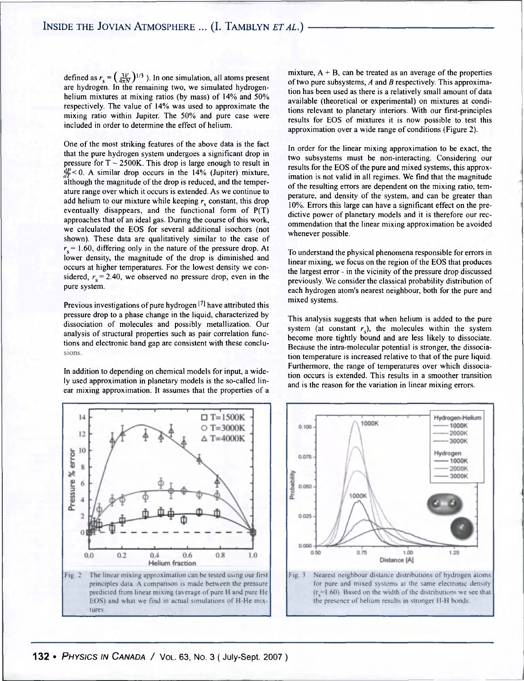defined as  $r_s = (\frac{3V}{4\pi N})^{1/3}$  ). In one simulation, all atoms present are hydrogen. In the remaining two, we simulated hydrogenhelium mixtures at mixing ratios (by mass) of 14% and 50% respectively. The value of 14% was used to approximate the mixing ratio within Jupiter. The 50% and pure case were included in order to determine the effect of helium.

One of the most striking features of the above data is the fact that the pure hydrogen system undergoes a significant drop in pressure for  $T \sim 2500K$ . This drop is large enough to result in  $\frac{df}{dt}$  < 0. A similar drop occurs in the 14% (Jupiter) mixture, although the magnitude of the drop is reduced, and the temperature range over which it occurs is extended. As we continue to add helium to our mixture while keeping  $r<sub>s</sub>$  constant, this drop eventually disappears, and the functional form of P(T) approaches that of an ideal gas. During the course of this work, we calculated the EOS for several additional isochors (not shown). These data are qualitatively similar to the case of  $r_s$  = 1.60, differing only in the nature of the pressure drop. At lower density, the magnitude of the drop is diminished and occurs at higher temperatures. For the lowest density we considered,  $r_s = 2.40$ , we observed no pressure drop, even in the pure system.

Previous investigations of pure hydrogen  $[7]$  have attributed this pressure drop to a phase change in the liquid, characterized by dissociation of molecules and possibly metallization. Our analysis of structural properties such as pair correlation functions and electronic band gap are consistent with these conclusions.

In addition to depending on chemical models for input, a widely used approximation in planetary models is the so-called linear mixing approximation. It assumes that the properties of a



mixture,  $A + B$ , can be treated as an average of the properties of two pure subsystems, *A* and *B* respectively. This approximation has been used as there is a relatively small amount of data available (theoretical or experimental) on mixtures at conditions relevant to planetary interiors. With our first-principles results for EOS of mixtures it is now possible to test this approximation over a wide range of conditions (Figure 2).

In order for the linear mixing approximation to be exact, the two subsystems must be non-interacting. Considering our results for the EOS of the pure and mixed systems, this approximation is not valid in all regimes. We find that the magnitude of the resulting errors are dependent on the mixing ratio, temperature, and density of the system, and can be greater than 10%. Errors this large can have a significant effect on the predictive power of planetary models and it is therefore our recommendation that the linear mixing approximation be avoided whenever possible.

To understand the physical phenomena responsible for errors in linear mixing, we focus on the region of the EOS that produces the largest error - in the vicinity of the pressure drop discussed previously. We consider the classical probability distribution of each hydrogen atom's nearest neighbour, both for the pure and mixed systems.

This analysis suggests that when helium is added to the pure system (at constant  $r<sub>s</sub>$ ), the molecules within the system become more tightly bound and are less likely to dissociate. Because the intra-molecular potential is stronger, the dissociation temperature is increased relative to that of the pure liquid. Furthermore, the range of temperatures over which dissociation occurs is extended. This results in a smoother transition and is the reason for the variation in linear mixing errors.



the presence of helium results in stronger H-H bonds.